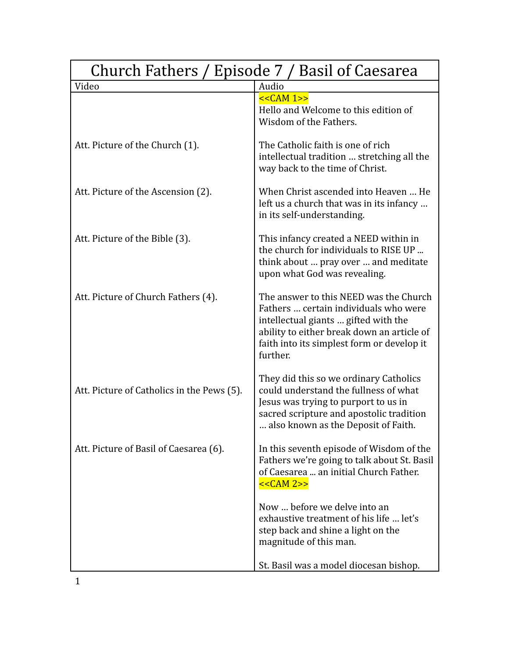| Church Fathers / Episode 7 / Basil of Caesarea |                                                                                                                                                                                                                                 |
|------------------------------------------------|---------------------------------------------------------------------------------------------------------------------------------------------------------------------------------------------------------------------------------|
| Video                                          | Audio                                                                                                                                                                                                                           |
|                                                | $<<CAM 1>>$<br>Hello and Welcome to this edition of<br>Wisdom of the Fathers.                                                                                                                                                   |
| Att. Picture of the Church (1).                | The Catholic faith is one of rich<br>intellectual tradition  stretching all the<br>way back to the time of Christ.                                                                                                              |
| Att. Picture of the Ascension (2).             | When Christ ascended into Heaven  He<br>left us a church that was in its infancy<br>in its self-understanding.                                                                                                                  |
| Att. Picture of the Bible (3).                 | This infancy created a NEED within in<br>the church for individuals to RISE UP<br>think about  pray over  and meditate<br>upon what God was revealing.                                                                          |
| Att. Picture of Church Fathers (4).            | The answer to this NEED was the Church<br>Fathers  certain individuals who were<br>intellectual giants  gifted with the<br>ability to either break down an article of<br>faith into its simplest form or develop it<br>further. |
| Att. Picture of Catholics in the Pews (5).     | They did this so we ordinary Catholics<br>could understand the fullness of what<br>Jesus was trying to purport to us in<br>sacred scripture and apostolic tradition<br>also known as the Deposit of Faith.                      |
| Att. Picture of Basil of Caesarea (6).         | In this seventh episode of Wisdom of the<br>Fathers we're going to talk about St. Basil<br>of Caesarea  an initial Church Father.<br><< <b>CAM</b> 2>>                                                                          |
|                                                | Now  before we delve into an<br>exhaustive treatment of his life  let's<br>step back and shine a light on the<br>magnitude of this man.                                                                                         |
|                                                | St. Basil was a model diocesan bishop.                                                                                                                                                                                          |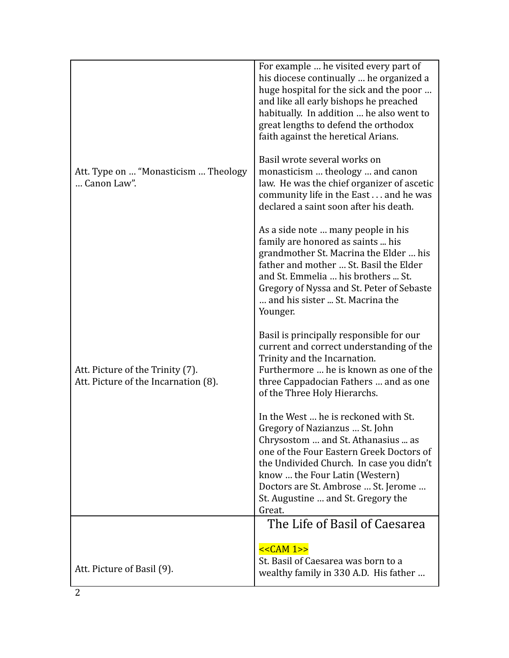|                                                                          | For example  he visited every part of<br>his diocese continually  he organized a<br>huge hospital for the sick and the poor<br>and like all early bishops he preached<br>habitually. In addition  he also went to<br>great lengths to defend the orthodox<br>faith against the heretical Arians.                              |
|--------------------------------------------------------------------------|-------------------------------------------------------------------------------------------------------------------------------------------------------------------------------------------------------------------------------------------------------------------------------------------------------------------------------|
| Att. Type on  "Monasticism  Theology<br>Canon Law".                      | Basil wrote several works on<br>monasticism  theology  and canon<br>law. He was the chief organizer of ascetic<br>community life in the East and he was<br>declared a saint soon after his death.                                                                                                                             |
|                                                                          | As a side note  many people in his<br>family are honored as saints  his<br>grandmother St. Macrina the Elder  his<br>father and mother  St. Basil the Elder<br>and St. Emmelia  his brothers  St.<br>Gregory of Nyssa and St. Peter of Sebaste<br>and his sister  St. Macrina the<br>Younger.                                 |
| Att. Picture of the Trinity (7).<br>Att. Picture of the Incarnation (8). | Basil is principally responsible for our<br>current and correct understanding of the<br>Trinity and the Incarnation.<br>Furthermore  he is known as one of the<br>three Cappadocian Fathers  and as one<br>of the Three Holy Hierarchs.                                                                                       |
|                                                                          | In the West  he is reckoned with St.<br>Gregory of Nazianzus  St. John<br>Chrysostom  and St. Athanasius  as<br>one of the Four Eastern Greek Doctors of<br>the Undivided Church. In case you didn't<br>know  the Four Latin (Western)<br>Doctors are St. Ambrose  St. Jerome<br>St. Augustine  and St. Gregory the<br>Great. |
|                                                                          | The Life of Basil of Caesarea                                                                                                                                                                                                                                                                                                 |
| Att. Picture of Basil (9).                                               | $<<CAM 1>>$<br>St. Basil of Caesarea was born to a<br>wealthy family in 330 A.D. His father                                                                                                                                                                                                                                   |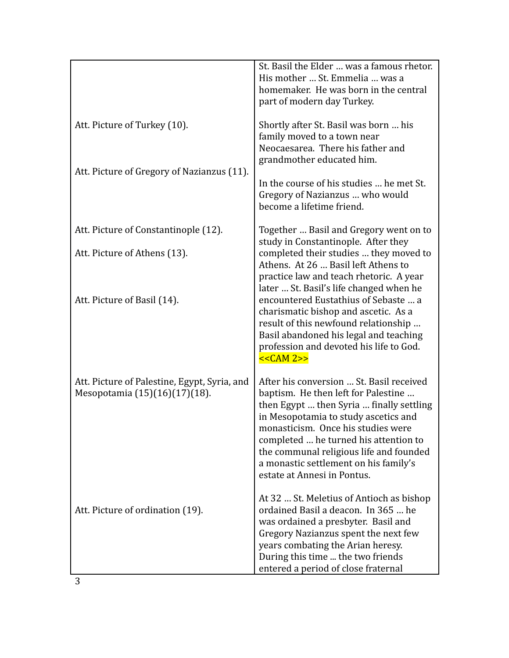|                                                                               | St. Basil the Elder  was a famous rhetor.<br>His mother  St. Emmelia  was a<br>homemaker. He was born in the central<br>part of modern day Turkey.                                                                                                                                                                                                                    |
|-------------------------------------------------------------------------------|-----------------------------------------------------------------------------------------------------------------------------------------------------------------------------------------------------------------------------------------------------------------------------------------------------------------------------------------------------------------------|
| Att. Picture of Turkey (10).                                                  | Shortly after St. Basil was born  his<br>family moved to a town near<br>Neocaesarea. There his father and<br>grandmother educated him.                                                                                                                                                                                                                                |
| Att. Picture of Gregory of Nazianzus (11).                                    | In the course of his studies  he met St.<br>Gregory of Nazianzus  who would<br>become a lifetime friend.                                                                                                                                                                                                                                                              |
| Att. Picture of Constantinople (12).                                          | Together  Basil and Gregory went on to                                                                                                                                                                                                                                                                                                                                |
| Att. Picture of Athens (13).                                                  | study in Constantinople. After they<br>completed their studies  they moved to<br>Athens. At 26  Basil left Athens to<br>practice law and teach rhetoric. A year                                                                                                                                                                                                       |
| Att. Picture of Basil (14).                                                   | later  St. Basil's life changed when he<br>encountered Eustathius of Sebaste  a<br>charismatic bishop and ascetic. As a<br>result of this newfound relationship<br>Basil abandoned his legal and teaching<br>profession and devoted his life to God.<br><< <b>CAM</b> 2>>                                                                                             |
| Att. Picture of Palestine, Egypt, Syria, and<br>Mesopotamia (15)(16)(17)(18). | After his conversion  St. Basil received<br>baptism. He then left for Palestine<br>then Egypt  then Syria  finally settling<br>in Mesopotamia to study ascetics and<br>monasticism. Once his studies were<br>completed  he turned his attention to<br>the communal religious life and founded<br>a monastic settlement on his family's<br>estate at Annesi in Pontus. |
| Att. Picture of ordination (19).                                              | At 32  St. Meletius of Antioch as bishop<br>ordained Basil a deacon. In 365  he<br>was ordained a presbyter. Basil and<br>Gregory Nazianzus spent the next few<br>years combating the Arian heresy.<br>During this time  the two friends<br>entered a period of close fraternal                                                                                       |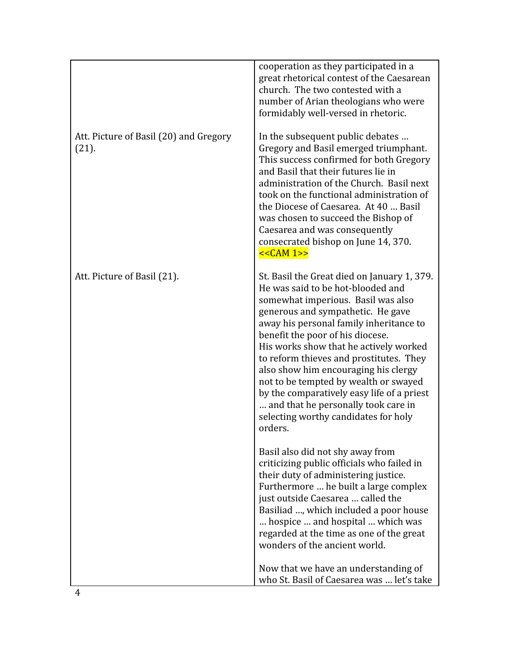|                                                 | cooperation as they participated in a<br>great rhetorical contest of the Caesarean<br>church. The two contested with a<br>number of Arian theologians who were<br>formidably well-versed in rhetoric.                                                                                                                                                                                                                                                                                                                                                    |
|-------------------------------------------------|----------------------------------------------------------------------------------------------------------------------------------------------------------------------------------------------------------------------------------------------------------------------------------------------------------------------------------------------------------------------------------------------------------------------------------------------------------------------------------------------------------------------------------------------------------|
| Att. Picture of Basil (20) and Gregory<br>(21). | In the subsequent public debates<br>Gregory and Basil emerged triumphant.<br>This success confirmed for both Gregory<br>and Basil that their futures lie in<br>administration of the Church. Basil next<br>took on the functional administration of<br>the Diocese of Caesarea. At 40  Basil<br>was chosen to succeed the Bishop of<br>Caesarea and was consequently<br>consecrated bishop on June 14, 370.<br><< <b>CAM</b> 1>>                                                                                                                         |
| Att. Picture of Basil (21).                     | St. Basil the Great died on January 1, 379.<br>He was said to be hot-blooded and<br>somewhat imperious. Basil was also<br>generous and sympathetic. He gave<br>away his personal family inheritance to<br>benefit the poor of his diocese.<br>His works show that he actively worked<br>to reform thieves and prostitutes. They<br>also show him encouraging his clergy<br>not to be tempted by wealth or swayed<br>by the comparatively easy life of a priest<br>and that he personally took care in<br>selecting worthy candidates for holy<br>orders. |
|                                                 | Basil also did not shy away from<br>criticizing public officials who failed in<br>their duty of administering justice.<br>Furthermore  he built a large complex<br>just outside Caesarea  called the<br>Basiliad , which included a poor house<br>hospice  and hospital  which was<br>regarded at the time as one of the great<br>wonders of the ancient world.                                                                                                                                                                                          |
|                                                 | Now that we have an understanding of<br>who St. Basil of Caesarea was  let's take                                                                                                                                                                                                                                                                                                                                                                                                                                                                        |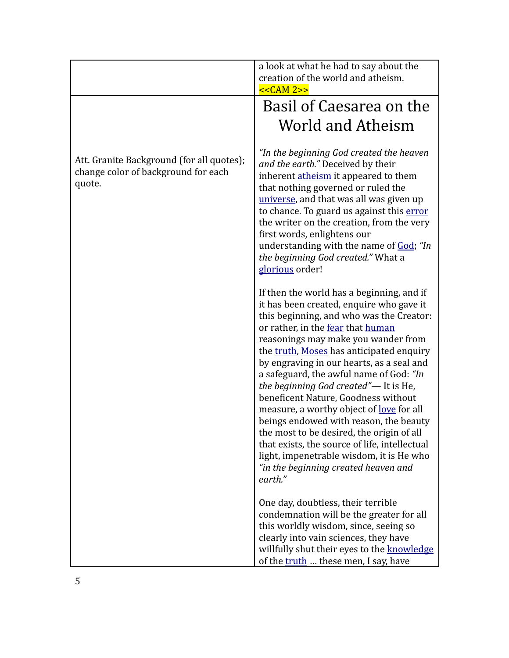|                                                                                            | a look at what he had to say about the<br>creation of the world and atheism.<br>$<<CAM 2>>$                                                                                                                                                                                                                                                                                                                                                                                                                                                                                                                                                                                                                                |
|--------------------------------------------------------------------------------------------|----------------------------------------------------------------------------------------------------------------------------------------------------------------------------------------------------------------------------------------------------------------------------------------------------------------------------------------------------------------------------------------------------------------------------------------------------------------------------------------------------------------------------------------------------------------------------------------------------------------------------------------------------------------------------------------------------------------------------|
|                                                                                            | Basil of Caesarea on the                                                                                                                                                                                                                                                                                                                                                                                                                                                                                                                                                                                                                                                                                                   |
|                                                                                            | World and Atheism                                                                                                                                                                                                                                                                                                                                                                                                                                                                                                                                                                                                                                                                                                          |
| Att. Granite Background (for all quotes);<br>change color of background for each<br>quote. | "In the beginning God created the heaven<br>and the earth." Deceived by their<br>inherent atheism it appeared to them<br>that nothing governed or ruled the<br>universe, and that was all was given up<br>to chance. To guard us against this error<br>the writer on the creation, from the very<br>first words, enlightens our<br>understanding with the name of God; "In<br>the beginning God created." What a<br>glorious order!                                                                                                                                                                                                                                                                                        |
|                                                                                            | If then the world has a beginning, and if<br>it has been created, enquire who gave it<br>this beginning, and who was the Creator:<br>or rather, in the fear that human<br>reasonings may make you wander from<br>the truth, Moses has anticipated enquiry<br>by engraving in our hearts, as a seal and<br>a safeguard, the awful name of God: "In<br>the beginning God created"-It is He,<br>beneficent Nature, Goodness without<br>measure, a worthy object of <u>love</u> for all<br>beings endowed with reason, the beauty<br>the most to be desired, the origin of all<br>that exists, the source of life, intellectual<br>light, impenetrable wisdom, it is He who<br>"in the beginning created heaven and<br>earth." |
|                                                                                            | One day, doubtless, their terrible<br>condemnation will be the greater for all<br>this worldly wisdom, since, seeing so<br>clearly into vain sciences, they have<br>willfully shut their eyes to the knowledge<br>of the truth  these men, I say, have                                                                                                                                                                                                                                                                                                                                                                                                                                                                     |